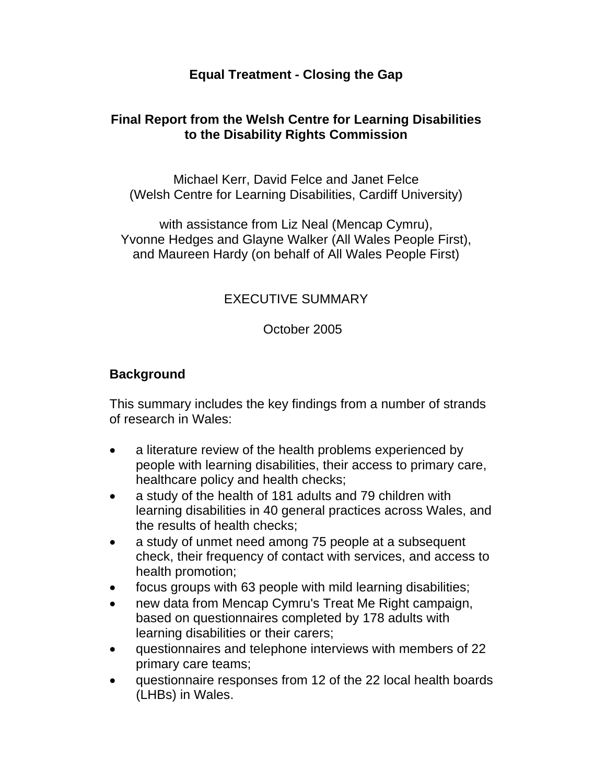## **Equal Treatment - Closing the Gap**

## **Final Report from the Welsh Centre for Learning Disabilities to the Disability Rights Commission**

Michael Kerr, David Felce and Janet Felce (Welsh Centre for Learning Disabilities, Cardiff University)

with assistance from Liz Neal (Mencap Cymru), Yvonne Hedges and Glayne Walker (All Wales People First), and Maureen Hardy (on behalf of All Wales People First)

### EXECUTIVE SUMMARY

#### October 2005

### **Background**

This summary includes the key findings from a number of strands of research in Wales:

- a literature review of the health problems experienced by people with learning disabilities, their access to primary care, healthcare policy and health checks;
- a study of the health of 181 adults and 79 children with learning disabilities in 40 general practices across Wales, and the results of health checks;
- a study of unmet need among 75 people at a subsequent check, their frequency of contact with services, and access to health promotion;
- focus groups with 63 people with mild learning disabilities;
- new data from Mencap Cymru's Treat Me Right campaign, based on questionnaires completed by 178 adults with learning disabilities or their carers;
- questionnaires and telephone interviews with members of 22 primary care teams;
- questionnaire responses from 12 of the 22 local health boards (LHBs) in Wales.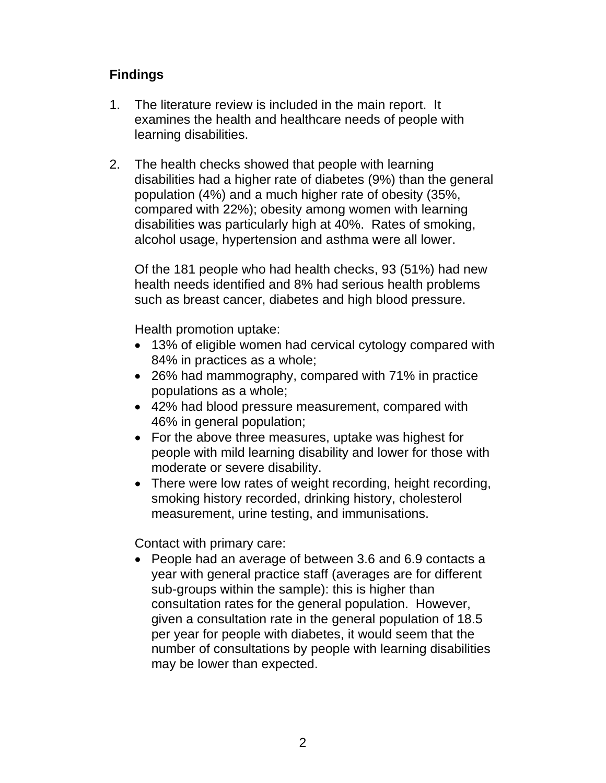# **Findings**

- 1. The literature review is included in the main report. It examines the health and healthcare needs of people with learning disabilities.
- 2. The health checks showed that people with learning disabilities had a higher rate of diabetes (9%) than the general population (4%) and a much higher rate of obesity (35%, compared with 22%); obesity among women with learning disabilities was particularly high at 40%. Rates of smoking, alcohol usage, hypertension and asthma were all lower.

 Of the 181 people who had health checks, 93 (51%) had new health needs identified and 8% had serious health problems such as breast cancer, diabetes and high blood pressure.

Health promotion uptake:

- 13% of eligible women had cervical cytology compared with 84% in practices as a whole;
- 26% had mammography, compared with 71% in practice populations as a whole;
- 42% had blood pressure measurement, compared with 46% in general population;
- For the above three measures, uptake was highest for people with mild learning disability and lower for those with moderate or severe disability.
- There were low rates of weight recording, height recording, smoking history recorded, drinking history, cholesterol measurement, urine testing, and immunisations.

Contact with primary care:

• People had an average of between 3.6 and 6.9 contacts a year with general practice staff (averages are for different sub-groups within the sample): this is higher than consultation rates for the general population. However, given a consultation rate in the general population of 18.5 per year for people with diabetes, it would seem that the number of consultations by people with learning disabilities may be lower than expected.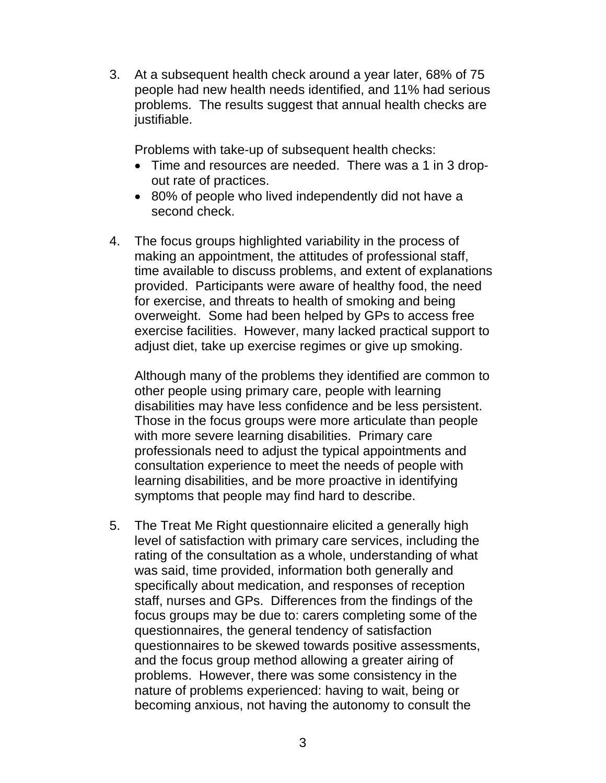3. At a subsequent health check around a year later, 68% of 75 people had new health needs identified, and 11% had serious problems. The results suggest that annual health checks are justifiable.

Problems with take-up of subsequent health checks:

- Time and resources are needed. There was a 1 in 3 dropout rate of practices.
- 80% of people who lived independently did not have a second check.
- 4. The focus groups highlighted variability in the process of making an appointment, the attitudes of professional staff, time available to discuss problems, and extent of explanations provided. Participants were aware of healthy food, the need for exercise, and threats to health of smoking and being overweight. Some had been helped by GPs to access free exercise facilities. However, many lacked practical support to adjust diet, take up exercise regimes or give up smoking.

 Although many of the problems they identified are common to other people using primary care, people with learning disabilities may have less confidence and be less persistent. Those in the focus groups were more articulate than people with more severe learning disabilities. Primary care professionals need to adjust the typical appointments and consultation experience to meet the needs of people with learning disabilities, and be more proactive in identifying symptoms that people may find hard to describe.

5. The Treat Me Right questionnaire elicited a generally high level of satisfaction with primary care services, including the rating of the consultation as a whole, understanding of what was said, time provided, information both generally and specifically about medication, and responses of reception staff, nurses and GPs. Differences from the findings of the focus groups may be due to: carers completing some of the questionnaires, the general tendency of satisfaction questionnaires to be skewed towards positive assessments, and the focus group method allowing a greater airing of problems. However, there was some consistency in the nature of problems experienced: having to wait, being or becoming anxious, not having the autonomy to consult the